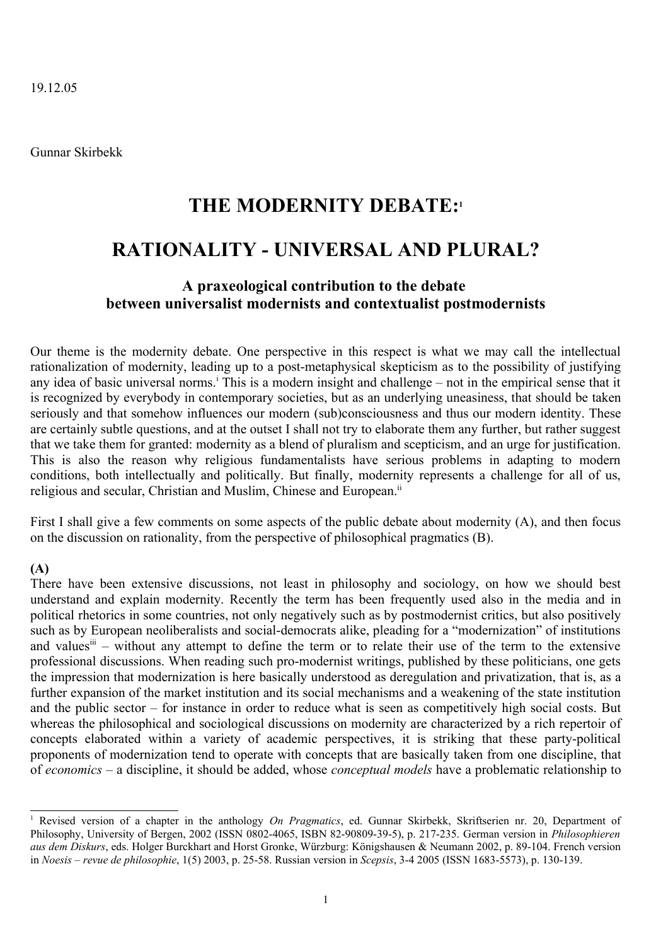19.12.05

Gunnar Skirbekk

# **THE MODERNITY DEBATE: [1](#page-0-0)**

# **RATIONALITY - UNIVERSAL AND PLURAL?**

## **A praxeological contribution to the debate between universalist modernists and contextualist postmodernists**

Our theme is the modernity debate. One perspective in this respect is what we may call the intellectual rationalization of modernity, leading up to a post-metaphysical skepticism as to the possibility of justifying any [i](#page-12-0)dea of basic universal norms.<sup>i</sup> This is a modern insight and challenge – not in the empirical sense that it is recognized by everybody in contemporary societies, but as an underlying uneasiness, that should be taken seriously and that somehow influences our modern (sub)consciousness and thus our modern identity. These are certainly subtle questions, and at the outset I shall not try to elaborate them any further, but rather suggest that we take them for granted: modernity as a blend of pluralism and scepticism, and an urge for justification. This is also the reason why religious fundamentalists have serious problems in adapting to modern conditions, both intellectually and politically. But finally, modernity represents a challenge for all of us, religious and secular, Christian and Muslim, Chinese and European.<sup>[ii](#page-12-1)</sup>

First I shall give a few comments on some aspects of the public debate about modernity (A), and then focus on the discussion on rationality, from the perspective of philosophical pragmatics (B).

## **(A)**

There have been extensive discussions, not least in philosophy and sociology, on how we should best understand and explain modernity. Recently the term has been frequently used also in the media and in political rhetorics in some countries, not only negatively such as by postmodernist critics, but also positively such as by European neoliberalists and social-democrats alike, pleading for a "modernization" of institutions and values<sup>[iii](#page-12-2)</sup> – without any attempt to define the term or to relate their use of the term to the extensive professional discussions. When reading such pro-modernist writings, published by these politicians, one gets the impression that modernization is here basically understood as deregulation and privatization, that is, as a further expansion of the market institution and its social mechanisms and a weakening of the state institution and the public sector – for instance in order to reduce what is seen as competitively high social costs. But whereas the philosophical and sociological discussions on modernity are characterized by a rich repertoir of concepts elaborated within a variety of academic perspectives, it is striking that these party-political proponents of modernization tend to operate with concepts that are basically taken from one discipline, that of *economics* – a discipline, it should be added, whose *conceptual models* have a problematic relationship to

<span id="page-0-0"></span><sup>1</sup> Revised version of a chapter in the anthology *On Pragmatics*, ed. Gunnar Skirbekk, Skriftserien nr. 20, Department of Philosophy, University of Bergen, 2002 (ISSN 0802-4065, ISBN 82-90809-39-5), p. 217-235. German version in *Philosophieren aus dem Diskurs*, eds. Holger Burckhart and Horst Gronke, Würzburg: Königshausen & Neumann 2002, p. 89-104. French version in *Noesis – revue de philosophie*, 1(5) 2003, p. 25-58. Russian version in *Scepsis*, 3-4 2005 (ISSN 1683-5573), p. 130-139.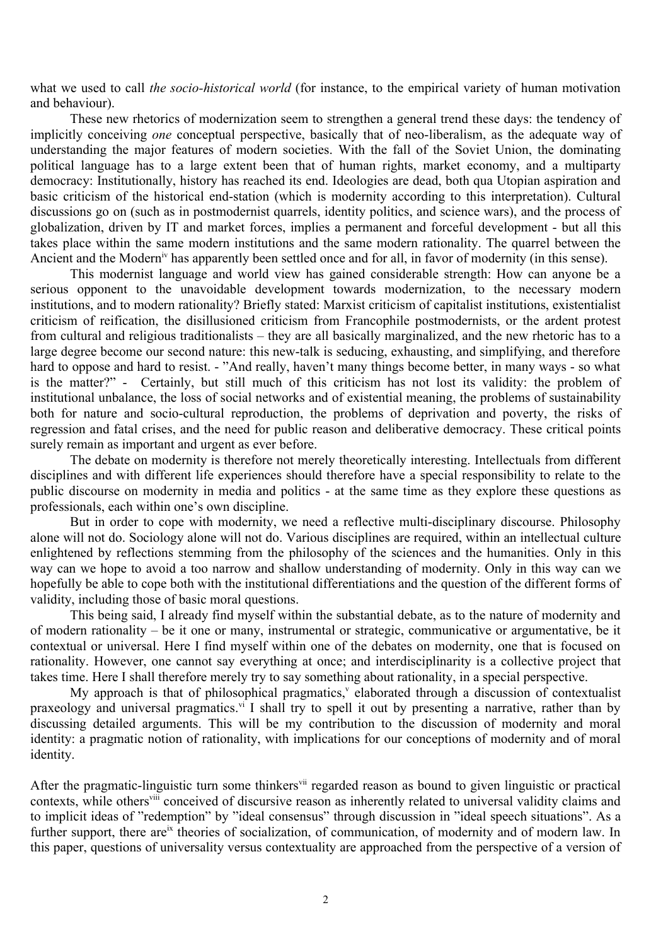what we used to call *the socio-historical world* (for instance, to the empirical variety of human motivation and behaviour).

These new rhetorics of modernization seem to strengthen a general trend these days: the tendency of implicitly conceiving *one* conceptual perspective, basically that of neo-liberalism, as the adequate way of understanding the major features of modern societies. With the fall of the Soviet Union, the dominating political language has to a large extent been that of human rights, market economy, and a multiparty democracy: Institutionally, history has reached its end. Ideologies are dead, both qua Utopian aspiration and basic criticism of the historical end-station (which is modernity according to this interpretation). Cultural discussions go on (such as in postmodernist quarrels, identity politics, and science wars), and the process of globalization, driven by IT and market forces, implies a permanent and forceful development - but all this takes place within the same modern institutions and the same modern rationality. The quarrel between the Ancient and the Modern<sup>[iv](#page-12-3)</sup> has apparently been settled once and for all, in favor of modernity (in this sense).

This modernist language and world view has gained considerable strength: How can anyone be a serious opponent to the unavoidable development towards modernization, to the necessary modern institutions, and to modern rationality? Briefly stated: Marxist criticism of capitalist institutions, existentialist criticism of reification, the disillusioned criticism from Francophile postmodernists, or the ardent protest from cultural and religious traditionalists – they are all basically marginalized, and the new rhetoric has to a large degree become our second nature: this new-talk is seducing, exhausting, and simplifying, and therefore hard to oppose and hard to resist. - "And really, haven't many things become better, in many ways - so what is the matter?" - Certainly, but still much of this criticism has not lost its validity: the problem of institutional unbalance, the loss of social networks and of existential meaning, the problems of sustainability both for nature and socio-cultural reproduction, the problems of deprivation and poverty, the risks of regression and fatal crises, and the need for public reason and deliberative democracy. These critical points surely remain as important and urgent as ever before.

The debate on modernity is therefore not merely theoretically interesting. Intellectuals from different disciplines and with different life experiences should therefore have a special responsibility to relate to the public discourse on modernity in media and politics - at the same time as they explore these questions as professionals, each within one's own discipline.

But in order to cope with modernity, we need a reflective multi-disciplinary discourse. Philosophy alone will not do. Sociology alone will not do. Various disciplines are required, within an intellectual culture enlightened by reflections stemming from the philosophy of the sciences and the humanities. Only in this way can we hope to avoid a too narrow and shallow understanding of modernity. Only in this way can we hopefully be able to cope both with the institutional differentiations and the question of the different forms of validity, including those of basic moral questions.

This being said, I already find myself within the substantial debate, as to the nature of modernity and of modern rationality – be it one or many, instrumental or strategic, communicative or argumentative, be it contextual or universal. Here I find myself within one of the debates on modernity, one that is focused on rationality. However, one cannot say everything at once; and interdisciplinarity is a collective project that takes time. Here I shall therefore merely try to say something about rationality, in a special perspective.

My approach is that of philosophical pragmatics,<sup>[v](#page-12-4)</sup> elaborated through a discussion of contextualist praxeology and universal pragmatics.<sup>[vi](#page-12-5)</sup> I shall try to spell it out by presenting a narrative, rather than by discussing detailed arguments. This will be my contribution to the discussion of modernity and moral identity: a pragmatic notion of rationality, with implications for our conceptions of modernity and of moral identity.

After the pragmatic-linguistic turn some thinkers<sup>[vii](#page-12-6)</sup> regarded reason as bound to given linguistic or practical contexts, while others<sup>[viii](#page-12-7)</sup> conceived of discursive reason as inherently related to universal validity claims and to implicit ideas of "redemption" by "ideal consensus" through discussion in "ideal speech situations". As a further support, there are<sup>[ix](#page-12-8)</sup> theories of socialization, of communication, of modernity and of modern law. In this paper, questions of universality versus contextuality are approached from the perspective of a version of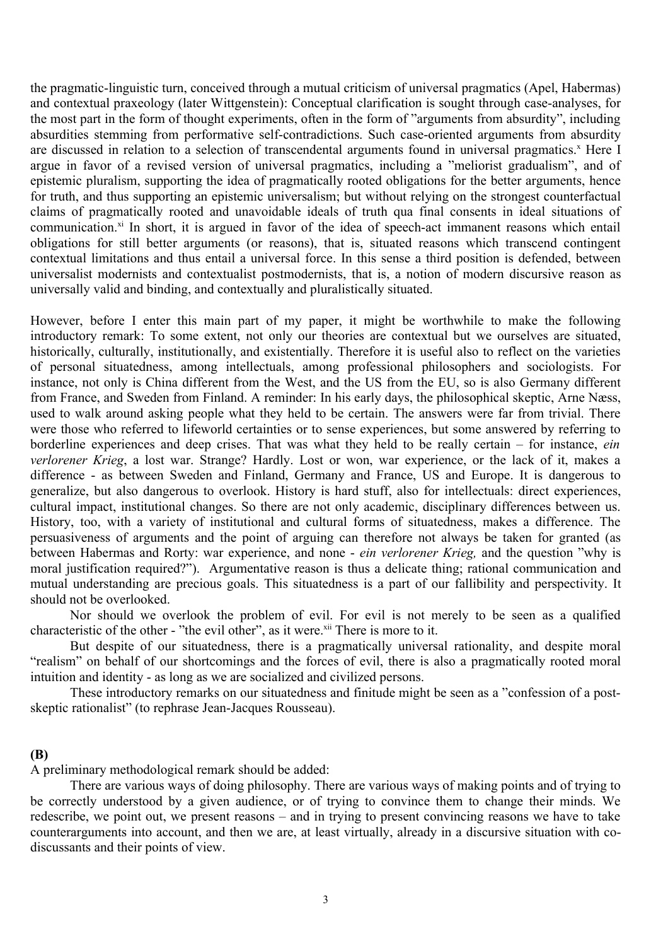the pragmatic-linguistic turn, conceived through a mutual criticism of universal pragmatics (Apel, Habermas) and contextual praxeology (later Wittgenstein): Conceptual clarification is sought through case-analyses, for the most part in the form of thought experiments, often in the form of "arguments from absurdity", including absurdities stemming from performative self-contradictions. Such case-oriented arguments from absurdity are discussed in relation to a selection of transcendental arguments found in universal pragmatics.<sup>[x](#page-12-9)</sup> Here I argue in favor of a revised version of universal pragmatics, including a "meliorist gradualism", and of epistemic pluralism, supporting the idea of pragmatically rooted obligations for the better arguments, hence for truth, and thus supporting an epistemic universalism; but without relying on the strongest counterfactual claims of pragmatically rooted and unavoidable ideals of truth qua final consents in ideal situations of communication.<sup>[xi](#page-12-10)</sup> In short, it is argued in favor of the idea of speech-act immanent reasons which entail obligations for still better arguments (or reasons), that is, situated reasons which transcend contingent contextual limitations and thus entail a universal force. In this sense a third position is defended, between universalist modernists and contextualist postmodernists, that is, a notion of modern discursive reason as universally valid and binding, and contextually and pluralistically situated.

However, before I enter this main part of my paper, it might be worthwhile to make the following introductory remark: To some extent, not only our theories are contextual but we ourselves are situated, historically, culturally, institutionally, and existentially. Therefore it is useful also to reflect on the varieties of personal situatedness, among intellectuals, among professional philosophers and sociologists. For instance, not only is China different from the West, and the US from the EU, so is also Germany different from France, and Sweden from Finland. A reminder: In his early days, the philosophical skeptic, Arne Næss, used to walk around asking people what they held to be certain. The answers were far from trivial. There were those who referred to lifeworld certainties or to sense experiences, but some answered by referring to borderline experiences and deep crises. That was what they held to be really certain – for instance, *ein verlorener Krieg*, a lost war. Strange? Hardly. Lost or won, war experience, or the lack of it, makes a difference - as between Sweden and Finland, Germany and France, US and Europe. It is dangerous to generalize, but also dangerous to overlook. History is hard stuff, also for intellectuals: direct experiences, cultural impact, institutional changes. So there are not only academic, disciplinary differences between us. History, too, with a variety of institutional and cultural forms of situatedness, makes a difference. The persuasiveness of arguments and the point of arguing can therefore not always be taken for granted (as between Habermas and Rorty: war experience, and none - *ein verlorener Krieg,* and the question "why is moral justification required?"). Argumentative reason is thus a delicate thing; rational communication and mutual understanding are precious goals. This situatedness is a part of our fallibility and perspectivity. It should not be overlooked.

Nor should we overlook the problem of evil. For evil is not merely to be seen as a qualified characteristic of the other - "the evil other", as it were.<sup>[xii](#page-12-11)</sup> There is more to it.

But despite of our situatedness, there is a pragmatically universal rationality, and despite moral "realism" on behalf of our shortcomings and the forces of evil, there is also a pragmatically rooted moral intuition and identity - as long as we are socialized and civilized persons.

These introductory remarks on our situatedness and finitude might be seen as a "confession of a postskeptic rationalist" (to rephrase Jean-Jacques Rousseau).

### **(B)**

A preliminary methodological remark should be added:

There are various ways of doing philosophy. There are various ways of making points and of trying to be correctly understood by a given audience, or of trying to convince them to change their minds. We redescribe, we point out, we present reasons – and in trying to present convincing reasons we have to take counterarguments into account, and then we are, at least virtually, already in a discursive situation with codiscussants and their points of view.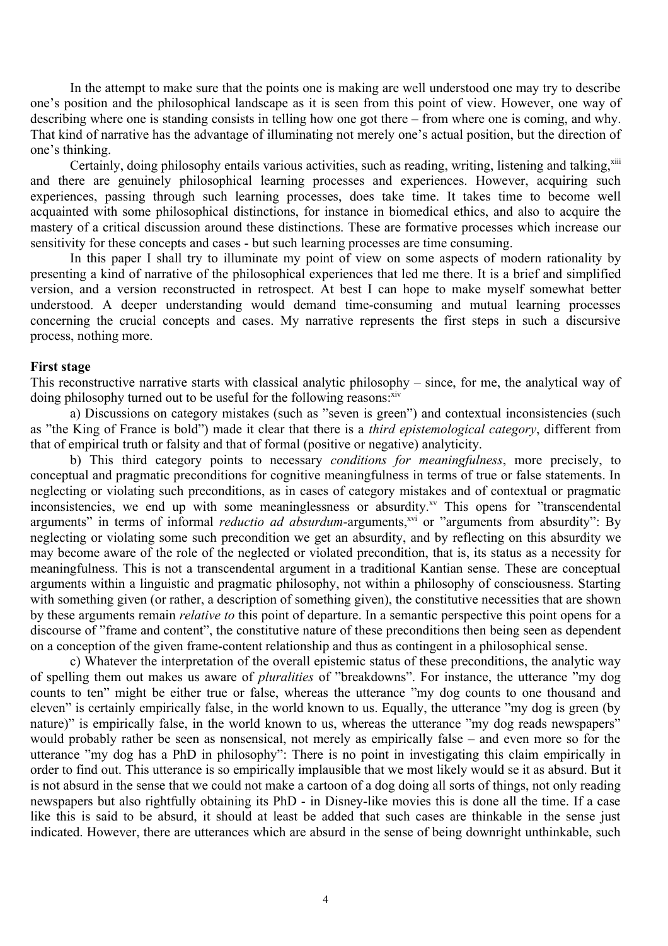In the attempt to make sure that the points one is making are well understood one may try to describe one's position and the philosophical landscape as it is seen from this point of view. However, one way of describing where one is standing consists in telling how one got there – from where one is coming, and why. That kind of narrative has the advantage of illuminating not merely one's actual position, but the direction of one's thinking.

Certainly, doing philosophy entails various activities, such as reading, writing, listening and talking, [xiii](#page-12-12) and there are genuinely philosophical learning processes and experiences. However, acquiring such experiences, passing through such learning processes, does take time. It takes time to become well acquainted with some philosophical distinctions, for instance in biomedical ethics, and also to acquire the mastery of a critical discussion around these distinctions. These are formative processes which increase our sensitivity for these concepts and cases - but such learning processes are time consuming.

In this paper I shall try to illuminate my point of view on some aspects of modern rationality by presenting a kind of narrative of the philosophical experiences that led me there. It is a brief and simplified version, and a version reconstructed in retrospect. At best I can hope to make myself somewhat better understood. A deeper understanding would demand time-consuming and mutual learning processes concerning the crucial concepts and cases. My narrative represents the first steps in such a discursive process, nothing more.

#### **First stage**

This reconstructive narrative starts with classical analytic philosophy – since, for me, the analytical way of doing philosophy turned out to be useful for the following reasons: XiV

a) Discussions on category mistakes (such as "seven is green") and contextual inconsistencies (such as "the King of France is bold") made it clear that there is a *third epistemological category*, different from that of empirical truth or falsity and that of formal (positive or negative) analyticity.

b) This third category points to necessary *conditions for meaningfulness*, more precisely, to conceptual and pragmatic preconditions for cognitive meaningfulness in terms of true or false statements. In neglecting or violating such preconditions, as in cases of category mistakes and of contextual or pragmatic inconsistencies, we end up with some meaninglessness or absurdity.<sup>[xv](#page-12-14)</sup> This opens for "transcendental" arguments" in terms of informal *reductio ad absurdum*-arguments,<sup>[xvi](#page-12-15)</sup> or "arguments from absurdity": By neglecting or violating some such precondition we get an absurdity, and by reflecting on this absurdity we may become aware of the role of the neglected or violated precondition, that is, its status as a necessity for meaningfulness. This is not a transcendental argument in a traditional Kantian sense. These are conceptual arguments within a linguistic and pragmatic philosophy, not within a philosophy of consciousness. Starting with something given (or rather, a description of something given), the constitutive necessities that are shown by these arguments remain *relative to* this point of departure. In a semantic perspective this point opens for a discourse of "frame and content", the constitutive nature of these preconditions then being seen as dependent on a conception of the given frame-content relationship and thus as contingent in a philosophical sense.

c) Whatever the interpretation of the overall epistemic status of these preconditions, the analytic way of spelling them out makes us aware of *pluralities* of "breakdowns". For instance, the utterance "my dog counts to ten" might be either true or false, whereas the utterance "my dog counts to one thousand and eleven" is certainly empirically false, in the world known to us. Equally, the utterance "my dog is green (by nature)" is empirically false, in the world known to us, whereas the utterance "my dog reads newspapers" would probably rather be seen as nonsensical, not merely as empirically false – and even more so for the utterance "my dog has a PhD in philosophy": There is no point in investigating this claim empirically in order to find out. This utterance is so empirically implausible that we most likely would se it as absurd. But it is not absurd in the sense that we could not make a cartoon of a dog doing all sorts of things, not only reading newspapers but also rightfully obtaining its PhD - in Disney-like movies this is done all the time. If a case like this is said to be absurd, it should at least be added that such cases are thinkable in the sense just indicated. However, there are utterances which are absurd in the sense of being downright unthinkable, such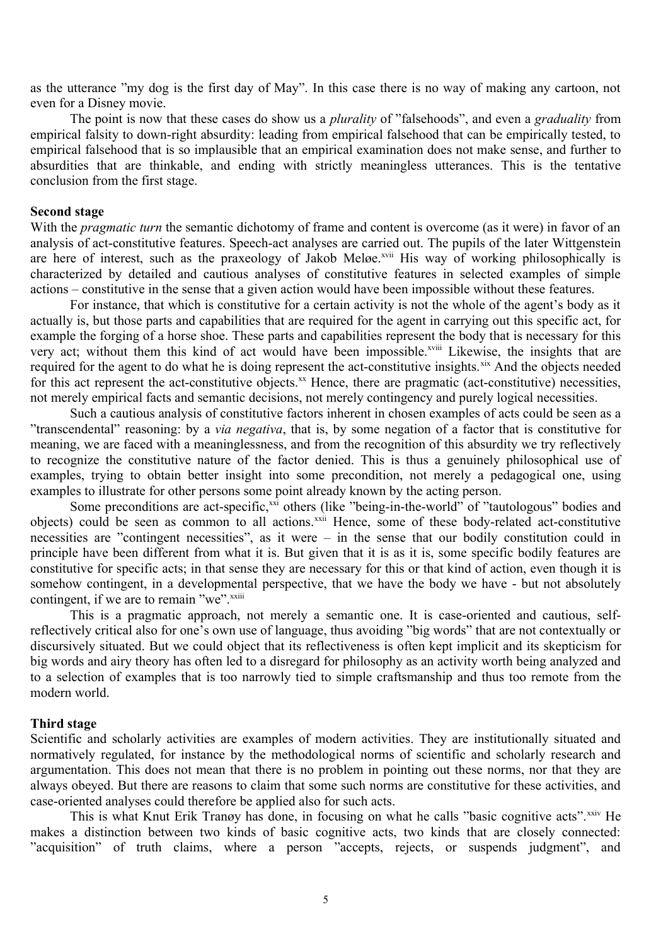as the utterance "my dog is the first day of May". In this case there is no way of making any cartoon, not even for a Disney movie.

The point is now that these cases do show us a *plurality* of "falsehoods", and even a *graduality* from empirical falsity to down-right absurdity: leading from empirical falsehood that can be empirically tested, to empirical falsehood that is so implausible that an empirical examination does not make sense, and further to absurdities that are thinkable, and ending with strictly meaningless utterances. This is the tentative conclusion from the first stage.

#### **Second stage**

With the *pragmatic turn* the semantic dichotomy of frame and content is overcome (as it were) in favor of an analysis of act-constitutive features. Speech-act analyses are carried out. The pupils of the later Wittgenstein are here of interest, such as the praxeology of Jakob Meløe.<sup>[xvii](#page-12-16)</sup> His way of working philosophically is characterized by detailed and cautious analyses of constitutive features in selected examples of simple actions – constitutive in the sense that a given action would have been impossible without these features.

For instance, that which is constitutive for a certain activity is not the whole of the agent's body as it actually is, but those parts and capabilities that are required for the agent in carrying out this specific act, for example the forging of a horse shoe. These parts and capabilities represent the body that is necessary for this very act; without them this kind of act would have been impossible.<sup>[xviii](#page-12-17)</sup> Likewise, the insights that are required for the agent to do what he is doing represent the act-constitutive insights.<sup>[xix](#page-12-18)</sup> And the objects needed for this act represent the act-constitutive objects.<sup>[xx](#page-12-19)</sup> Hence, there are pragmatic (act-constitutive) necessities, not merely empirical facts and semantic decisions, not merely contingency and purely logical necessities.

Such a cautious analysis of constitutive factors inherent in chosen examples of acts could be seen as a "transcendental" reasoning: by a *via negativa*, that is, by some negation of a factor that is constitutive for meaning, we are faced with a meaninglessness, and from the recognition of this absurdity we try reflectively to recognize the constitutive nature of the factor denied. This is thus a genuinely philosophical use of examples, trying to obtain better insight into some precondition, not merely a pedagogical one, using examples to illustrate for other persons some point already known by the acting person.

Some preconditions are act-specific,<sup>[xxi](#page-12-20)</sup> others (like "being-in-the-world" of "tautologous" bodies and objects) could be seen as common to all actions.<sup>[xxii](#page-12-21)</sup> Hence, some of these body-related act-constitutive necessities are "contingent necessities", as it were – in the sense that our bodily constitution could in principle have been different from what it is. But given that it is as it is, some specific bodily features are constitutive for specific acts; in that sense they are necessary for this or that kind of action, even though it is somehow contingent, in a developmental perspective, that we have the body we have - but not absolutely contingent, if we are to remain "we".<sup>[xxiii](#page-12-22)</sup>

This is a pragmatic approach, not merely a semantic one. It is case-oriented and cautious, selfreflectively critical also for one's own use of language, thus avoiding "big words" that are not contextually or discursively situated. But we could object that its reflectiveness is often kept implicit and its skepticism for big words and airy theory has often led to a disregard for philosophy as an activity worth being analyzed and to a selection of examples that is too narrowly tied to simple craftsmanship and thus too remote from the modern world.

#### **Third stage**

Scientific and scholarly activities are examples of modern activities. They are institutionally situated and normatively regulated, for instance by the methodological norms of scientific and scholarly research and argumentation. This does not mean that there is no problem in pointing out these norms, nor that they are always obeyed. But there are reasons to claim that some such norms are constitutive for these activities, and case-oriented analyses could therefore be applied also for such acts.

This is what Knut Erik Tranøy has done, in focusing on what he calls "basic cognitive acts". XXIV He makes a distinction between two kinds of basic cognitive acts, two kinds that are closely connected: "acquisition" of truth claims, where a person "accepts, rejects, or suspends judgment", and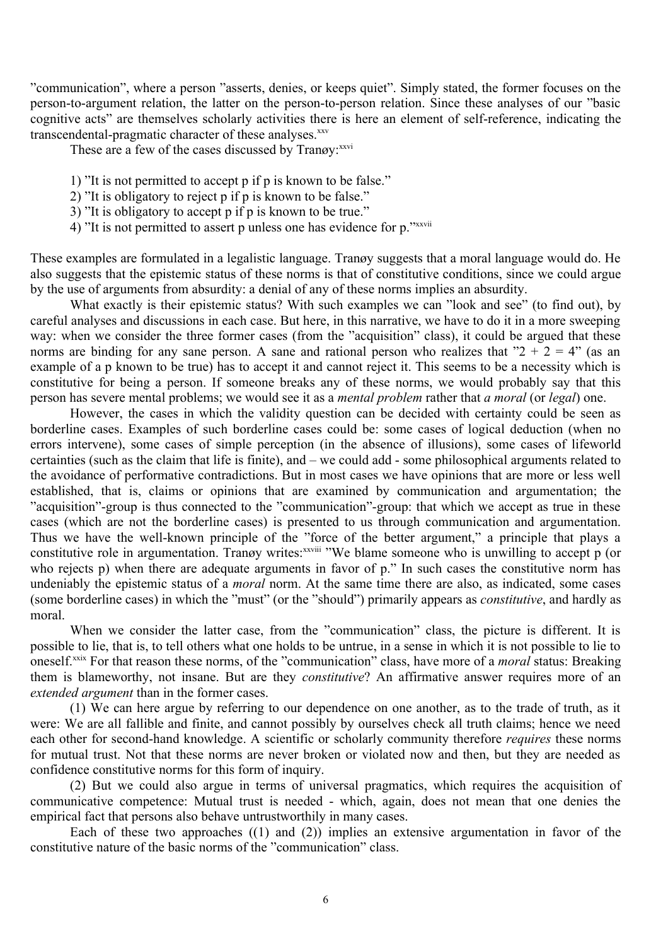"communication", where a person "asserts, denies, or keeps quiet". Simply stated, the former focuses on the person-to-argument relation, the latter on the person-to-person relation. Since these analyses of our "basic cognitive acts" are themselves scholarly activities there is here an element of self-reference, indicating the transcendental-pragmatic character of these analyses.<sup>[xxv](#page-13-1)</sup>

These are a few of the cases discussed by Tranøy: [xxvi](#page-13-2)

- 1) "It is not permitted to accept p if p is known to be false."
- 2) "It is obligatory to reject p if p is known to be false."
- 3) "It is obligatory to accept p if p is known to be true."
- 4) "It is not permitted to assert p unless one has evidence for p."[xxvii](#page-13-3)

These examples are formulated in a legalistic language. Tranøy suggests that a moral language would do. He also suggests that the epistemic status of these norms is that of constitutive conditions, since we could argue by the use of arguments from absurdity: a denial of any of these norms implies an absurdity.

What exactly is their epistemic status? With such examples we can "look and see" (to find out), by careful analyses and discussions in each case. But here, in this narrative, we have to do it in a more sweeping way: when we consider the three former cases (from the "acquisition" class), it could be argued that these norms are binding for any sane person. A sane and rational person who realizes that " $2 + 2 = 4$ " (as an example of a p known to be true) has to accept it and cannot reject it. This seems to be a necessity which is constitutive for being a person. If someone breaks any of these norms, we would probably say that this person has severe mental problems; we would see it as a *mental problem* rather that *a moral* (or *legal*) one.

However, the cases in which the validity question can be decided with certainty could be seen as borderline cases. Examples of such borderline cases could be: some cases of logical deduction (when no errors intervene), some cases of simple perception (in the absence of illusions), some cases of lifeworld certainties (such as the claim that life is finite), and – we could add - some philosophical arguments related to the avoidance of performative contradictions. But in most cases we have opinions that are more or less well established, that is, claims or opinions that are examined by communication and argumentation; the "acquisition"-group is thus connected to the "communication"-group: that which we accept as true in these cases (which are not the borderline cases) is presented to us through communication and argumentation. Thus we have the well-known principle of the "force of the better argument," a principle that plays a constitutive role in argumentation. Tranøy writes: [xxviii](#page-13-4) "We blame someone who is unwilling to accept p (or who rejects p) when there are adequate arguments in favor of p." In such cases the constitutive norm has undeniably the epistemic status of a *moral* norm. At the same time there are also, as indicated, some cases (some borderline cases) in which the "must" (or the "should") primarily appears as *constitutive*, and hardly as moral.

When we consider the latter case, from the "communication" class, the picture is different. It is possible to lie, that is, to tell others what one holds to be untrue, in a sense in which it is not possible to lie to oneself.[xxix](#page-13-5) For that reason these norms, of the "communication" class, have more of a *moral* status: Breaking them is blameworthy, not insane. But are they *constitutive*? An affirmative answer requires more of an *extended argument* than in the former cases.

(1) We can here argue by referring to our dependence on one another, as to the trade of truth, as it were: We are all fallible and finite, and cannot possibly by ourselves check all truth claims; hence we need each other for second-hand knowledge. A scientific or scholarly community therefore *requires* these norms for mutual trust. Not that these norms are never broken or violated now and then, but they are needed as confidence constitutive norms for this form of inquiry.

(2) But we could also argue in terms of universal pragmatics, which requires the acquisition of communicative competence: Mutual trust is needed - which, again, does not mean that one denies the empirical fact that persons also behave untrustworthily in many cases.

Each of these two approaches  $(1)$  and  $(2)$ ) implies an extensive argumentation in favor of the constitutive nature of the basic norms of the "communication" class.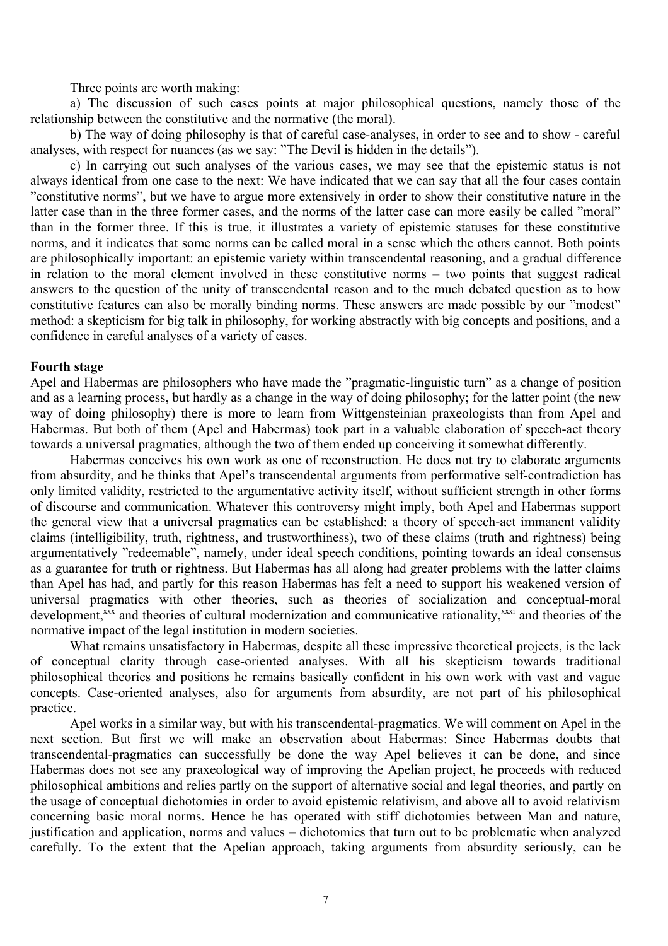Three points are worth making:

a) The discussion of such cases points at major philosophical questions, namely those of the relationship between the constitutive and the normative (the moral).

b) The way of doing philosophy is that of careful case-analyses, in order to see and to show - careful analyses, with respect for nuances (as we say: "The Devil is hidden in the details").

c) In carrying out such analyses of the various cases, we may see that the epistemic status is not always identical from one case to the next: We have indicated that we can say that all the four cases contain "constitutive norms", but we have to argue more extensively in order to show their constitutive nature in the latter case than in the three former cases, and the norms of the latter case can more easily be called "moral" than in the former three. If this is true, it illustrates a variety of epistemic statuses for these constitutive norms, and it indicates that some norms can be called moral in a sense which the others cannot. Both points are philosophically important: an epistemic variety within transcendental reasoning, and a gradual difference in relation to the moral element involved in these constitutive norms – two points that suggest radical answers to the question of the unity of transcendental reason and to the much debated question as to how constitutive features can also be morally binding norms. These answers are made possible by our "modest" method: a skepticism for big talk in philosophy, for working abstractly with big concepts and positions, and a confidence in careful analyses of a variety of cases.

#### **Fourth stage**

Apel and Habermas are philosophers who have made the "pragmatic-linguistic turn" as a change of position and as a learning process, but hardly as a change in the way of doing philosophy; for the latter point (the new way of doing philosophy) there is more to learn from Wittgensteinian praxeologists than from Apel and Habermas. But both of them (Apel and Habermas) took part in a valuable elaboration of speech-act theory towards a universal pragmatics, although the two of them ended up conceiving it somewhat differently.

Habermas conceives his own work as one of reconstruction. He does not try to elaborate arguments from absurdity, and he thinks that Apel's transcendental arguments from performative self-contradiction has only limited validity, restricted to the argumentative activity itself, without sufficient strength in other forms of discourse and communication. Whatever this controversy might imply, both Apel and Habermas support the general view that a universal pragmatics can be established: a theory of speech-act immanent validity claims (intelligibility, truth, rightness, and trustworthiness), two of these claims (truth and rightness) being argumentatively "redeemable", namely, under ideal speech conditions, pointing towards an ideal consensus as a guarantee for truth or rightness. But Habermas has all along had greater problems with the latter claims than Apel has had, and partly for this reason Habermas has felt a need to support his weakened version of universal pragmatics with other theories, such as theories of socialization and conceptual-moral development,<sup>[xxx](#page-13-6)</sup> and theories of cultural modernization and communicative rationality,<sup>[xxxi](#page-13-7)</sup> and theories of the normative impact of the legal institution in modern societies.

What remains unsatisfactory in Habermas, despite all these impressive theoretical projects, is the lack of conceptual clarity through case-oriented analyses. With all his skepticism towards traditional philosophical theories and positions he remains basically confident in his own work with vast and vague concepts. Case-oriented analyses, also for arguments from absurdity, are not part of his philosophical practice.

Apel works in a similar way, but with his transcendental-pragmatics. We will comment on Apel in the next section. But first we will make an observation about Habermas: Since Habermas doubts that transcendental-pragmatics can successfully be done the way Apel believes it can be done, and since Habermas does not see any praxeological way of improving the Apelian project, he proceeds with reduced philosophical ambitions and relies partly on the support of alternative social and legal theories, and partly on the usage of conceptual dichotomies in order to avoid epistemic relativism, and above all to avoid relativism concerning basic moral norms. Hence he has operated with stiff dichotomies between Man and nature, justification and application, norms and values – dichotomies that turn out to be problematic when analyzed carefully. To the extent that the Apelian approach, taking arguments from absurdity seriously, can be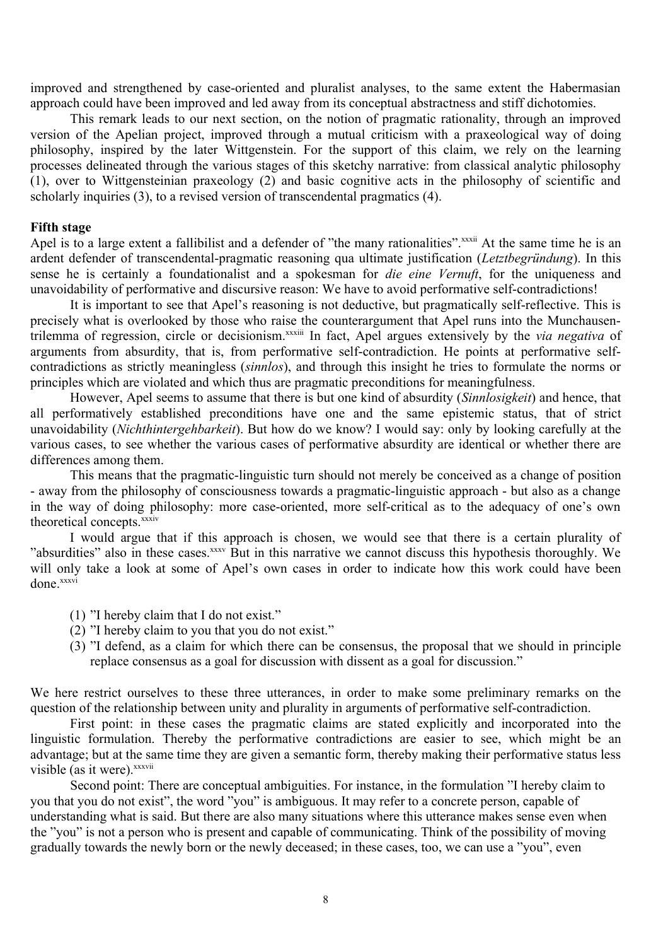improved and strengthened by case-oriented and pluralist analyses, to the same extent the Habermasian approach could have been improved and led away from its conceptual abstractness and stiff dichotomies.

This remark leads to our next section, on the notion of pragmatic rationality, through an improved version of the Apelian project, improved through a mutual criticism with a praxeological way of doing philosophy, inspired by the later Wittgenstein. For the support of this claim, we rely on the learning processes delineated through the various stages of this sketchy narrative: from classical analytic philosophy (1), over to Wittgensteinian praxeology (2) and basic cognitive acts in the philosophy of scientific and scholarly inquiries (3), to a revised version of transcendental pragmatics (4).

#### **Fifth stage**

Apel is to a large extent a fallibilist and a defender of "the many rationalities".<sup>[xxxii](#page-13-8)</sup> At the same time he is an ardent defender of transcendental-pragmatic reasoning qua ultimate justification (*Letztbegründung*). In this sense he is certainly a foundationalist and a spokesman for *die eine Vernuft*, for the uniqueness and unavoidability of performative and discursive reason: We have to avoid performative self-contradictions!

It is important to see that Apel's reasoning is not deductive, but pragmatically self-reflective. This is precisely what is overlooked by those who raise the counterargument that Apel runs into the Munchausentrilemma of regression, circle or decisionism. [xxxiii](#page-13-9) In fact, Apel argues extensively by the *via negativa* of arguments from absurdity, that is, from performative self-contradiction. He points at performative selfcontradictions as strictly meaningless (*sinnlos*), and through this insight he tries to formulate the norms or principles which are violated and which thus are pragmatic preconditions for meaningfulness.

However, Apel seems to assume that there is but one kind of absurdity (*Sinnlosigkeit*) and hence, that all performatively established preconditions have one and the same epistemic status, that of strict unavoidability (*Nichthintergehbarkeit*). But how do we know? I would say: only by looking carefully at the various cases, to see whether the various cases of performative absurdity are identical or whether there are differences among them.

This means that the pragmatic-linguistic turn should not merely be conceived as a change of position - away from the philosophy of consciousness towards a pragmatic-linguistic approach - but also as a change in the way of doing philosophy: more case-oriented, more self-critical as to the adequacy of one's own theoretical concepts.<sup>[xxxiv](#page-13-10)</sup>

I would argue that if this approach is chosen, we would see that there is a certain plurality of "absurdities" also in these cases. XXXV But in this narrative we cannot discuss this hypothesis thoroughly. We will only take a look at some of Apel's own cases in order to indicate how this work could have been done. [xxxvi](#page-13-12)

- (1) "I hereby claim that I do not exist."
- (2) "I hereby claim to you that you do not exist."
- (3) "I defend, as a claim for which there can be consensus, the proposal that we should in principle replace consensus as a goal for discussion with dissent as a goal for discussion."

We here restrict ourselves to these three utterances, in order to make some preliminary remarks on the question of the relationship between unity and plurality in arguments of performative self-contradiction.

First point: in these cases the pragmatic claims are stated explicitly and incorporated into the linguistic formulation. Thereby the performative contradictions are easier to see, which might be an advantage; but at the same time they are given a semantic form, thereby making their performative status less visible (as it were). [xxxvii](#page-13-13)

Second point: There are conceptual ambiguities. For instance, in the formulation "I hereby claim to you that you do not exist", the word "you" is ambiguous. It may refer to a concrete person, capable of understanding what is said. But there are also many situations where this utterance makes sense even when the "you" is not a person who is present and capable of communicating. Think of the possibility of moving gradually towards the newly born or the newly deceased; in these cases, too, we can use a "you", even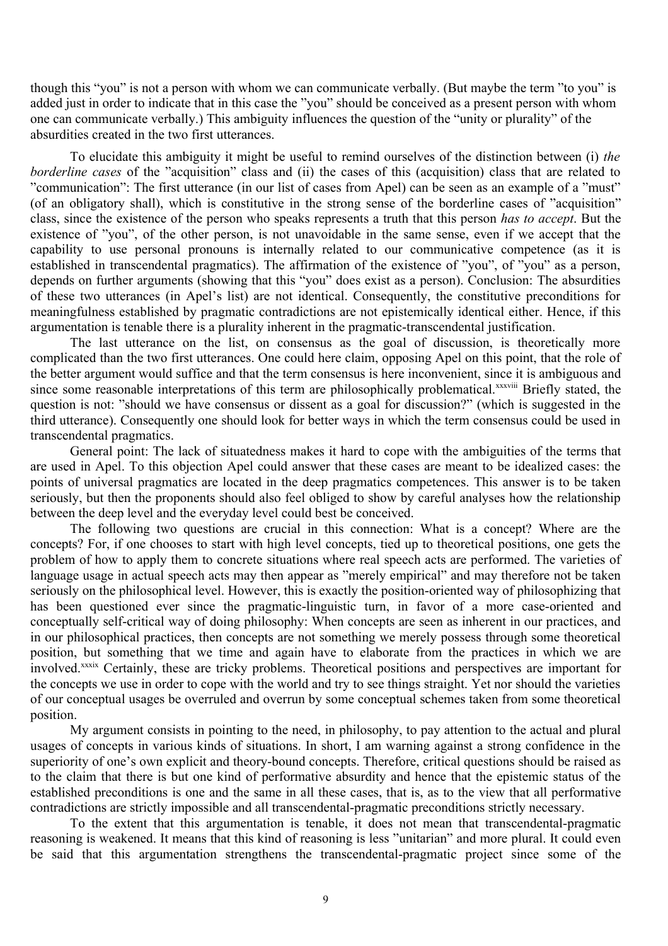though this "you" is not a person with whom we can communicate verbally. (But maybe the term "to you" is added just in order to indicate that in this case the "you" should be conceived as a present person with whom one can communicate verbally.) This ambiguity influences the question of the "unity or plurality" of the absurdities created in the two first utterances.

To elucidate this ambiguity it might be useful to remind ourselves of the distinction between (i) *the borderline cases* of the "acquisition" class and (ii) the cases of this (acquisition) class that are related to "communication": The first utterance (in our list of cases from Apel) can be seen as an example of a "must" (of an obligatory shall), which is constitutive in the strong sense of the borderline cases of "acquisition" class, since the existence of the person who speaks represents a truth that this person *has to accept*. But the existence of "you", of the other person, is not unavoidable in the same sense, even if we accept that the capability to use personal pronouns is internally related to our communicative competence (as it is established in transcendental pragmatics). The affirmation of the existence of "you", of "you" as a person, depends on further arguments (showing that this "you" does exist as a person). Conclusion: The absurdities of these two utterances (in Apel's list) are not identical. Consequently, the constitutive preconditions for meaningfulness established by pragmatic contradictions are not epistemically identical either. Hence, if this argumentation is tenable there is a plurality inherent in the pragmatic-transcendental justification.

The last utterance on the list, on consensus as the goal of discussion, is theoretically more complicated than the two first utterances. One could here claim, opposing Apel on this point, that the role of the better argument would suffice and that the term consensus is here inconvenient, since it is ambiguous and since some reasonable interpretations of this term are philosophically problematical.<sup>[xxxviii](#page-13-14)</sup> Briefly stated, the question is not: "should we have consensus or dissent as a goal for discussion?" (which is suggested in the third utterance). Consequently one should look for better ways in which the term consensus could be used in transcendental pragmatics.

General point: The lack of situatedness makes it hard to cope with the ambiguities of the terms that are used in Apel. To this objection Apel could answer that these cases are meant to be idealized cases: the points of universal pragmatics are located in the deep pragmatics competences. This answer is to be taken seriously, but then the proponents should also feel obliged to show by careful analyses how the relationship between the deep level and the everyday level could best be conceived.

The following two questions are crucial in this connection: What is a concept? Where are the concepts? For, if one chooses to start with high level concepts, tied up to theoretical positions, one gets the problem of how to apply them to concrete situations where real speech acts are performed. The varieties of language usage in actual speech acts may then appear as "merely empirical" and may therefore not be taken seriously on the philosophical level. However, this is exactly the position-oriented way of philosophizing that has been questioned ever since the pragmatic-linguistic turn, in favor of a more case-oriented and conceptually self-critical way of doing philosophy: When concepts are seen as inherent in our practices, and in our philosophical practices, then concepts are not something we merely possess through some theoretical position, but something that we time and again have to elaborate from the practices in which we are involved.<sup>[xxxix](#page-13-15)</sup> Certainly, these are tricky problems. Theoretical positions and perspectives are important for the concepts we use in order to cope with the world and try to see things straight. Yet nor should the varieties of our conceptual usages be overruled and overrun by some conceptual schemes taken from some theoretical position.

My argument consists in pointing to the need, in philosophy, to pay attention to the actual and plural usages of concepts in various kinds of situations. In short, I am warning against a strong confidence in the superiority of one's own explicit and theory-bound concepts. Therefore, critical questions should be raised as to the claim that there is but one kind of performative absurdity and hence that the epistemic status of the established preconditions is one and the same in all these cases, that is, as to the view that all performative contradictions are strictly impossible and all transcendental-pragmatic preconditions strictly necessary.

To the extent that this argumentation is tenable, it does not mean that transcendental-pragmatic reasoning is weakened. It means that this kind of reasoning is less "unitarian" and more plural. It could even be said that this argumentation strengthens the transcendental-pragmatic project since some of the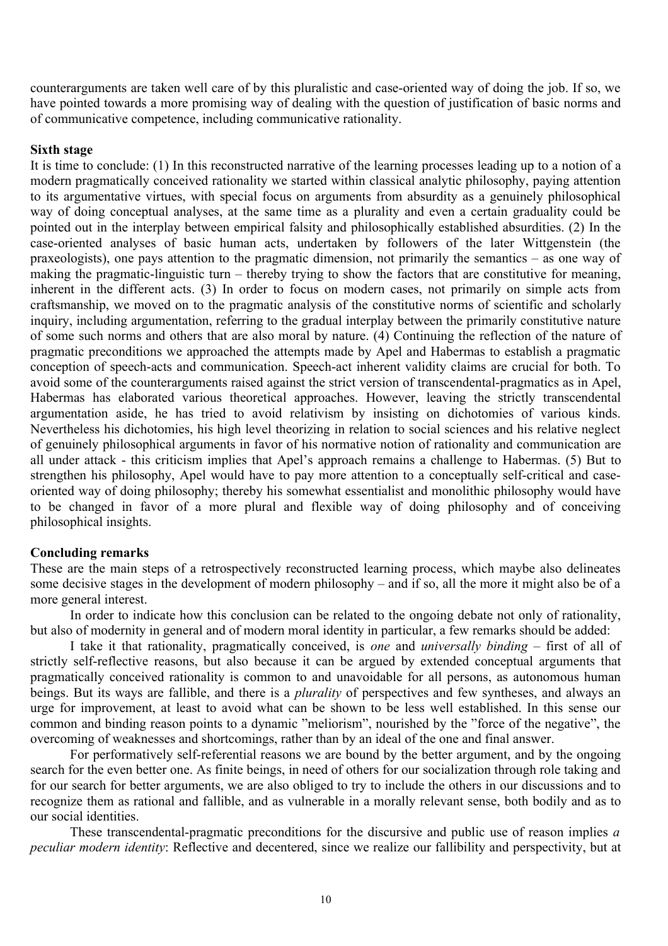counterarguments are taken well care of by this pluralistic and case-oriented way of doing the job. If so, we have pointed towards a more promising way of dealing with the question of justification of basic norms and of communicative competence, including communicative rationality.

## **Sixth stage**

It is time to conclude: (1) In this reconstructed narrative of the learning processes leading up to a notion of a modern pragmatically conceived rationality we started within classical analytic philosophy, paying attention to its argumentative virtues, with special focus on arguments from absurdity as a genuinely philosophical way of doing conceptual analyses, at the same time as a plurality and even a certain graduality could be pointed out in the interplay between empirical falsity and philosophically established absurdities. (2) In the case-oriented analyses of basic human acts, undertaken by followers of the later Wittgenstein (the praxeologists), one pays attention to the pragmatic dimension, not primarily the semantics – as one way of making the pragmatic-linguistic turn – thereby trying to show the factors that are constitutive for meaning, inherent in the different acts. (3) In order to focus on modern cases, not primarily on simple acts from craftsmanship, we moved on to the pragmatic analysis of the constitutive norms of scientific and scholarly inquiry, including argumentation, referring to the gradual interplay between the primarily constitutive nature of some such norms and others that are also moral by nature. (4) Continuing the reflection of the nature of pragmatic preconditions we approached the attempts made by Apel and Habermas to establish a pragmatic conception of speech-acts and communication. Speech-act inherent validity claims are crucial for both. To avoid some of the counterarguments raised against the strict version of transcendental-pragmatics as in Apel, Habermas has elaborated various theoretical approaches. However, leaving the strictly transcendental argumentation aside, he has tried to avoid relativism by insisting on dichotomies of various kinds. Nevertheless his dichotomies, his high level theorizing in relation to social sciences and his relative neglect of genuinely philosophical arguments in favor of his normative notion of rationality and communication are all under attack - this criticism implies that Apel's approach remains a challenge to Habermas. (5) But to strengthen his philosophy, Apel would have to pay more attention to a conceptually self-critical and caseoriented way of doing philosophy; thereby his somewhat essentialist and monolithic philosophy would have to be changed in favor of a more plural and flexible way of doing philosophy and of conceiving philosophical insights.

### **Concluding remarks**

These are the main steps of a retrospectively reconstructed learning process, which maybe also delineates some decisive stages in the development of modern philosophy – and if so, all the more it might also be of a more general interest.

In order to indicate how this conclusion can be related to the ongoing debate not only of rationality, but also of modernity in general and of modern moral identity in particular, a few remarks should be added:

I take it that rationality, pragmatically conceived, is *one* and *universally binding* – first of all of strictly self-reflective reasons, but also because it can be argued by extended conceptual arguments that pragmatically conceived rationality is common to and unavoidable for all persons, as autonomous human beings. But its ways are fallible, and there is a *plurality* of perspectives and few syntheses, and always an urge for improvement, at least to avoid what can be shown to be less well established. In this sense our common and binding reason points to a dynamic "meliorism", nourished by the "force of the negative", the overcoming of weaknesses and shortcomings, rather than by an ideal of the one and final answer.

For performatively self-referential reasons we are bound by the better argument, and by the ongoing search for the even better one. As finite beings, in need of others for our socialization through role taking and for our search for better arguments, we are also obliged to try to include the others in our discussions and to recognize them as rational and fallible, and as vulnerable in a morally relevant sense, both bodily and as to our social identities.

These transcendental-pragmatic preconditions for the discursive and public use of reason implies *a peculiar modern identity*: Reflective and decentered, since we realize our fallibility and perspectivity, but at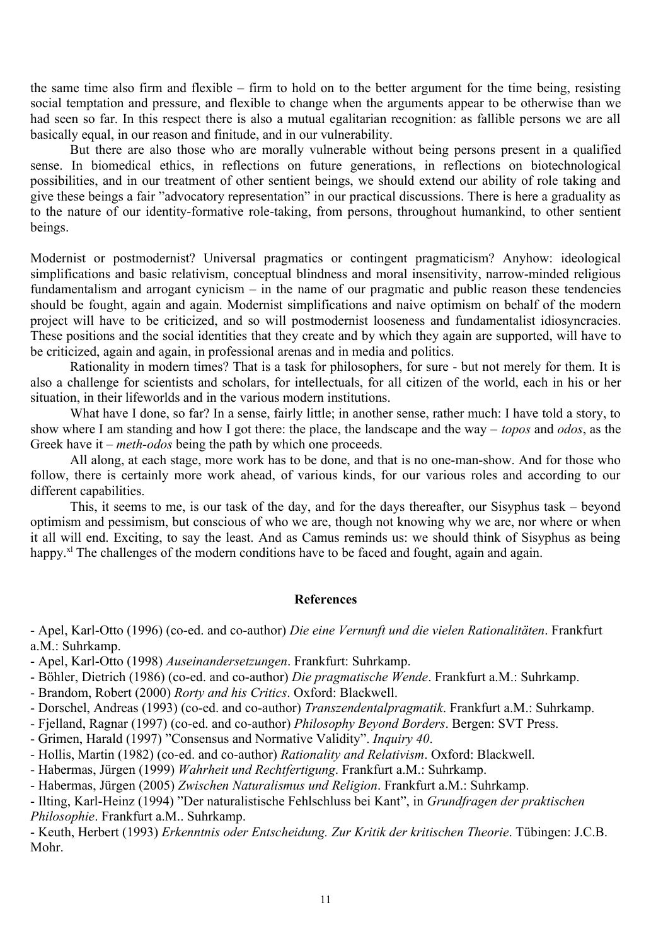the same time also firm and flexible – firm to hold on to the better argument for the time being, resisting social temptation and pressure, and flexible to change when the arguments appear to be otherwise than we had seen so far. In this respect there is also a mutual egalitarian recognition: as fallible persons we are all basically equal, in our reason and finitude, and in our vulnerability.

But there are also those who are morally vulnerable without being persons present in a qualified sense. In biomedical ethics, in reflections on future generations, in reflections on biotechnological possibilities, and in our treatment of other sentient beings, we should extend our ability of role taking and give these beings a fair "advocatory representation" in our practical discussions. There is here a graduality as to the nature of our identity-formative role-taking, from persons, throughout humankind, to other sentient beings.

Modernist or postmodernist? Universal pragmatics or contingent pragmaticism? Anyhow: ideological simplifications and basic relativism, conceptual blindness and moral insensitivity, narrow-minded religious fundamentalism and arrogant cynicism – in the name of our pragmatic and public reason these tendencies should be fought, again and again. Modernist simplifications and naive optimism on behalf of the modern project will have to be criticized, and so will postmodernist looseness and fundamentalist idiosyncracies. These positions and the social identities that they create and by which they again are supported, will have to be criticized, again and again, in professional arenas and in media and politics.

Rationality in modern times? That is a task for philosophers, for sure - but not merely for them. It is also a challenge for scientists and scholars, for intellectuals, for all citizen of the world, each in his or her situation, in their lifeworlds and in the various modern institutions.

What have I done, so far? In a sense, fairly little; in another sense, rather much: I have told a story, to show where I am standing and how I got there: the place, the landscape and the way – *topos* and *odos*, as the Greek have it – *meth-odos* being the path by which one proceeds.

All along, at each stage, more work has to be done, and that is no one-man-show. And for those who follow, there is certainly more work ahead, of various kinds, for our various roles and according to our different capabilities.

This, it seems to me, is our task of the day, and for the days thereafter, our Sisyphus task – beyond optimism and pessimism, but conscious of who we are, though not knowing why we are, nor where or when it all will end. Exciting, to say the least. And as Camus reminds us: we should think of Sisyphus as being happy.<sup>[xl](#page-13-16)</sup> The challenges of the modern conditions have to be faced and fought, again and again.

#### **References**

- Apel, Karl-Otto (1996) (co-ed. and co-author) *Die eine Vernunft und die vielen Rationalitäten*. Frankfurt a.M.: Suhrkamp.

- Apel, Karl-Otto (1998) *Auseinandersetzungen*. Frankfurt: Suhrkamp.
- Böhler, Dietrich (1986) (co-ed. and co-author) *Die pragmatische Wende*. Frankfurt a.M.: Suhrkamp.
- Brandom, Robert (2000) *Rorty and his Critics*. Oxford: Blackwell.
- Dorschel, Andreas (1993) (co-ed. and co-author) *Transzendentalpragmatik*. Frankfurt a.M.: Suhrkamp.
- Fjelland, Ragnar (1997) (co-ed. and co-author) *Philosophy Beyond Borders*. Bergen: SVT Press.
- Grimen, Harald (1997) "Consensus and Normative Validity". *Inquiry 40*.
- Hollis, Martin (1982) (co-ed. and co-author) *Rationality and Relativism*. Oxford: Blackwell.
- Habermas, Jürgen (1999) *Wahrheit und Rechtfertigung*. Frankfurt a.M.: Suhrkamp.
- Habermas, Jürgen (2005) *Zwischen Naturalismus und Religion*. Frankfurt a.M.: Suhrkamp.
- Ilting, Karl-Heinz (1994) "Der naturalistische Fehlschluss bei Kant", in *Grundfragen der praktischen Philosophie*. Frankfurt a.M.. Suhrkamp.

- Keuth, Herbert (1993) *Erkenntnis oder Entscheidung. Zur Kritik der kritischen Theorie*. Tübingen: J.C.B. Mohr.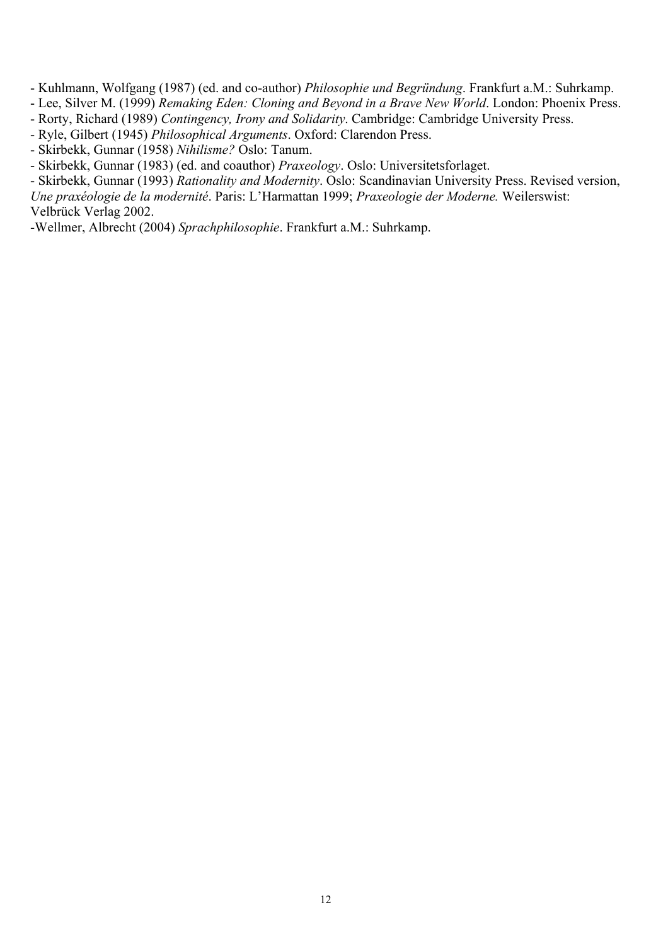- Kuhlmann, Wolfgang (1987) (ed. and co-author) *Philosophie und Begründung*. Frankfurt a.M.: Suhrkamp.

- Lee, Silver M. (1999) *Remaking Eden: Cloning and Beyond in a Brave New World*. London: Phoenix Press.

- Rorty, Richard (1989) *Contingency, Irony and Solidarity*. Cambridge: Cambridge University Press.
- Ryle, Gilbert (1945) *Philosophical Arguments*. Oxford: Clarendon Press.
- Skirbekk, Gunnar (1958) *Nihilisme?* Oslo: Tanum.
- Skirbekk, Gunnar (1983) (ed. and coauthor) *Praxeology*. Oslo: Universitetsforlaget.

- Skirbekk, Gunnar (1993) *Rationality and Modernity*. Oslo: Scandinavian University Press. Revised version,

*Une praxéologie de la modernité*. Paris: L'Harmattan 1999; *Praxeologie der Moderne.* Weilerswist: Velbrück Verlag 2002.

-Wellmer, Albrecht (2004) *Sprachphilosophie*. Frankfurt a.M.: Suhrkamp.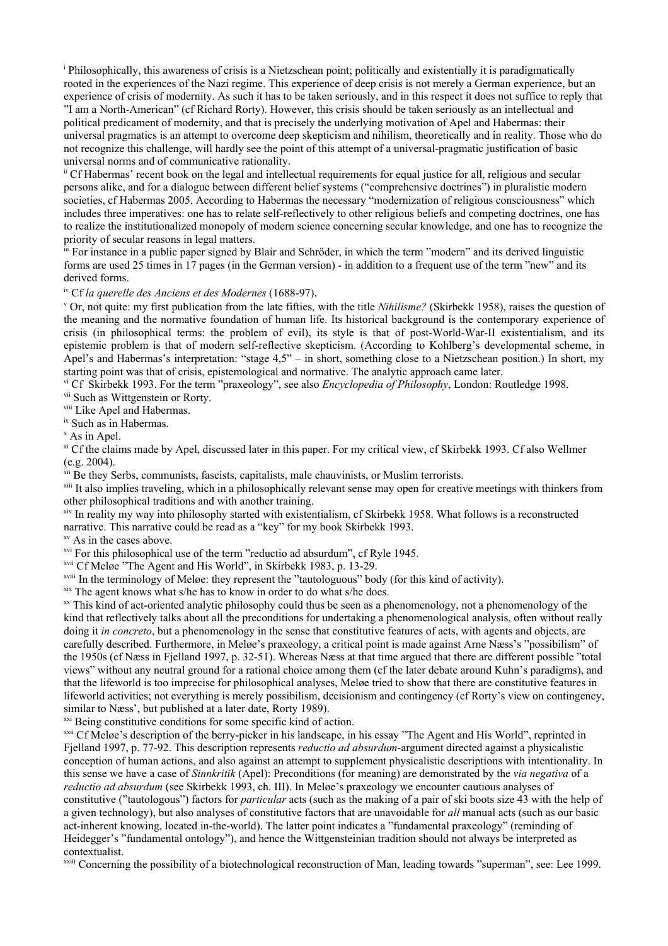<span id="page-12-0"></span>i Philosophically, this awareness of crisis is a Nietzschean point; politically and existentially it is paradigmatically rooted in the experiences of the Nazi regime. This experience of deep crisis is not merely a German experience, but an experience of crisis of modernity. As such it has to be taken seriously, and in this respect it does not suffice to reply that "I am a North-American" (cf Richard Rorty). However, this crisis should be taken seriously as an intellectual and political predicament of modernity, and that is precisely the underlying motivation of Apel and Habermas: their universal pragmatics is an attempt to overcome deep skepticism and nihilism, theoretically and in reality. Those who do not recognize this challenge, will hardly see the point of this attempt of a universal-pragmatic justification of basic universal norms and of communicative rationality.

<span id="page-12-1"></span>ii Cf Habermas' recent book on the legal and intellectual requirements for equal justice for all, religious and secular persons alike, and for a dialogue between different belief systems ("comprehensive doctrines") in pluralistic modern societies, cf Habermas 2005. According to Habermas the necessary "modernization of religious consciousness" which includes three imperatives: one has to relate self-reflectively to other religious beliefs and competing doctrines, one has to realize the institutionalized monopoly of modern science concerning secular knowledge, and one has to recognize the priority of secular reasons in legal matters.

<span id="page-12-2"></span>iii For instance in a public paper signed by Blair and Schröder, in which the term "modern" and its derived linguistic forms are used 25 times in 17 pages (in the German version) - in addition to a frequent use of the term "new" and its derived forms.

<span id="page-12-3"></span>iv Cf *la querelle des Anciens et des Modernes* (1688-97).

<span id="page-12-4"></span><sup>v</sup> Or, not quite: my first publication from the late fifties, with the title *Nihilisme?* (Skirbekk 1958), raises the question of the meaning and the normative foundation of human life. Its historical background is the contemporary experience of crisis (in philosophical terms: the problem of evil), its style is that of post-World-War-II existentialism, and its epistemic problem is that of modern self-reflective skepticism. (According to Kohlberg's developmental scheme, in Apel's and Habermas's interpretation: "stage 4,5" – in short, something close to a Nietzschean position.) In short, my starting point was that of crisis, epistemological and normative. The analytic approach came later.

<span id="page-12-5"></span>vi Cf Skirbekk 1993. For the term "praxeology", see also *Encyclopedia of Philosophy*, London: Routledge 1998.

<span id="page-12-6"></span>vii Such as Wittgenstein or Rorty.

<span id="page-12-7"></span>viii Like Apel and Habermas.

<span id="page-12-8"></span>ix Such as in Habermas.

<span id="page-12-9"></span>x As in Apel.

<span id="page-12-10"></span>xi Cf the claims made by Apel, discussed later in this paper. For my critical view, cf Skirbekk 1993. Cf also Wellmer (e.g. 2004).

<span id="page-12-11"></span>xii Be they Serbs, communists, fascists, capitalists, male chauvinists, or Muslim terrorists.

<span id="page-12-12"></span><sup>xiii</sup> It also implies traveling, which in a philosophically relevant sense may open for creative meetings with thinkers from other philosophical traditions and with another training.

<span id="page-12-13"></span><sup>xiv</sup> In reality my way into philosophy started with existentialism, cf Skirbekk 1958. What follows is a reconstructed narrative. This narrative could be read as a "key" for my book Skirbekk 1993.

<span id="page-12-14"></span>xv As in the cases above.

<span id="page-12-15"></span><sup>xvi</sup> For this philosophical use of the term "reductio ad absurdum", cf Ryle 1945.

<span id="page-12-16"></span>xvii Cf Meløe "The Agent and His World", in Skirbekk 1983, p. 13-29.

<span id="page-12-17"></span>xviii In the terminology of Meløe: they represent the "tautologuous" body (for this kind of activity).

<span id="page-12-18"></span>xix The agent knows what s/he has to know in order to do what s/he does.

<span id="page-12-19"></span>xx This kind of act-oriented analytic philosophy could thus be seen as a phenomenology, not a phenomenology of the kind that reflectively talks about all the preconditions for undertaking a phenomenological analysis, often without really doing it *in concreto*, but a phenomenology in the sense that constitutive features of acts, with agents and objects, are carefully described. Furthermore, in Meløe's praxeology, a critical point is made against Arne Næss's "possibilism" of the 1950s (cf Næss in Fjelland 1997, p. 32-51). Whereas Næss at that time argued that there are different possible "total views" without any neutral ground for a rational choice among them (cf the later debate around Kuhn's paradigms), and that the lifeworld is too imprecise for philosophical analyses, Meløe tried to show that there are constitutive features in lifeworld activities; not everything is merely possibilism, decisionism and contingency (cf Rorty's view on contingency, similar to Næss', but published at a later date, Rorty 1989).

<span id="page-12-20"></span><sup>xxi</sup> Being constitutive conditions for some specific kind of action.

<span id="page-12-21"></span><sup>xxii</sup> Cf Meløe's description of the berry-picker in his landscape, in his essay "The Agent and His World", reprinted in Fjelland 1997, p. 77-92. This description represents *reductio ad absurdum*-argument directed against a physicalistic conception of human actions, and also against an attempt to supplement physicalistic descriptions with intentionality. In this sense we have a case of *Sinnkritik* (Apel): Preconditions (for meaning) are demonstrated by the *via negativa* of a *reductio ad absurdum* (see Skirbekk 1993, ch. III). In Meløe's praxeology we encounter cautious analyses of constitutive ("tautologous") factors for *particular* acts (such as the making of a pair of ski boots size 43 with the help of a given technology), but also analyses of constitutive factors that are unavoidable for *all* manual acts (such as our basic act-inherent knowing, located in-the-world). The latter point indicates a "fundamental praxeology" (reminding of Heidegger's "fundamental ontology"), and hence the Wittgensteinian tradition should not always be interpreted as contextualist.

<span id="page-12-22"></span><sup>xxiii</sup> Concerning the possibility of a biotechnological reconstruction of Man, leading towards "superman", see: Lee 1999.